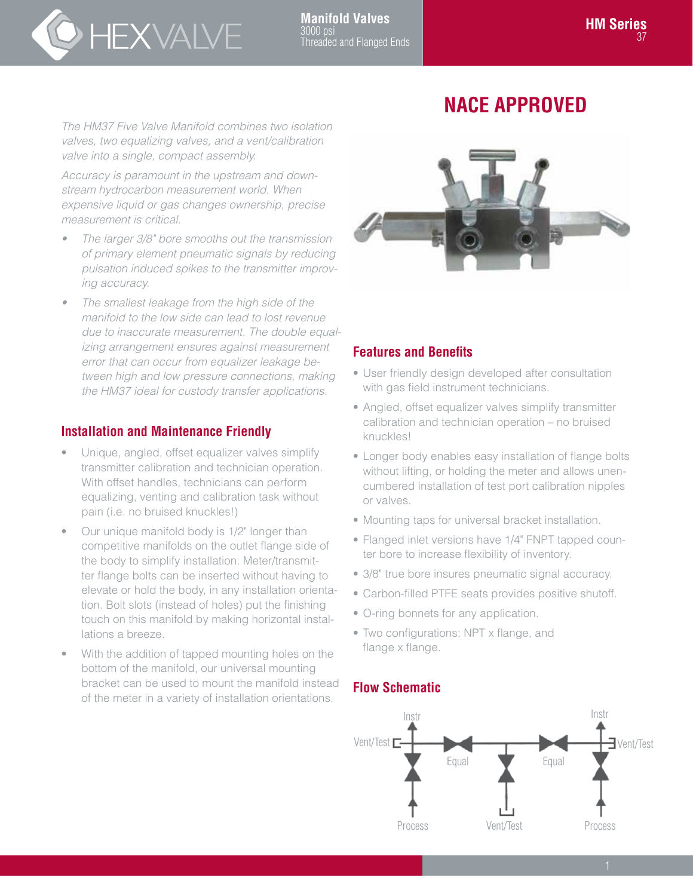# HEXVALVE

## **NACE APPROVED**

*The HM37 Five Valve Manifold combines two isolation valves, two equalizing valves, and a vent/calibration valve into a single, compact assembly.*

*Accuracy is paramount in the upstream and downstream hydrocarbon measurement world. When expensive liquid or gas changes ownership, precise measurement is critical.*

- *• The larger 3/8" bore smooths out the transmission of primary element pneumatic signals by reducing pulsation induced spikes to the transmitter improving accuracy.*
- *• The smallest leakage from the high side of the manifold to the low side can lead to lost revenue due to inaccurate measurement. The double equalizing arrangement ensures against measurement error that can occur from equalizer leakage between high and low pressure connections, making the HM37 ideal for custody transfer applications.*

### **Installation and Maintenance Friendly**

- Unique, angled, offset equalizer valves simplify transmitter calibration and technician operation. With offset handles, technicians can perform equalizing, venting and calibration task without pain (i.e. no bruised knuckles!)
- Our unique manifold body is 1/2" longer than competitive manifolds on the outlet flange side of the body to simplify installation. Meter/transmitter flange bolts can be inserted without having to elevate or hold the body, in any installation orientation. Bolt slots (instead of holes) put the finishing touch on this manifold by making horizontal installations a breeze.
- With the addition of tapped mounting holes on the bottom of the manifold, our universal mounting bracket can be used to mount the manifold instead of the meter in a variety of installation orientations.



#### **Features and Benefits**

- User friendly design developed after consultation with gas field instrument technicians.
- Angled, offset equalizer valves simplify transmitter calibration and technician operation – no bruised knuckles!
- Longer body enables easy installation of flange bolts without lifting, or holding the meter and allows unencumbered installation of test port calibration nipples or valves.
- Mounting taps for universal bracket installation.
- Flanged inlet versions have 1/4" FNPT tapped counter bore to increase flexibility of inventory.
- 3/8" true bore insures pneumatic signal accuracy.
- Carbon-filled PTFE seats provides positive shutoff.
- O-ring bonnets for any application.
- Two configurations: NPT x flange, and flange x flange.

#### **Flow Schematic**